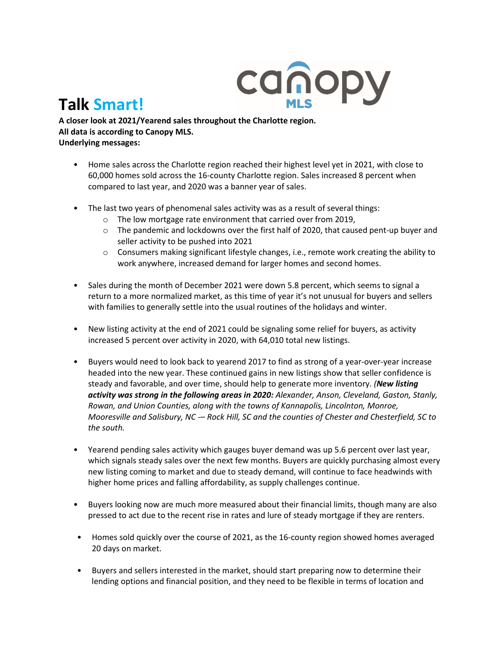

## **Talk Smart!**

**A closer look at 2021/Yearend sales throughout the Charlotte region. All data is according to Canopy MLS. Underlying messages:** 

- Home sales across the Charlotte region reached their highest level yet in 2021, with close to 60,000 homes sold across the 16-county Charlotte region. Sales increased 8 percent when compared to last year, and 2020 was a banner year of sales.
- The last two years of phenomenal sales activity was as a result of several things:
	- o The low mortgage rate environment that carried over from 2019,
	- $\circ$  The pandemic and lockdowns over the first half of 2020, that caused pent-up buyer and seller activity to be pushed into 2021
	- $\circ$  Consumers making significant lifestyle changes, i.e., remote work creating the ability to work anywhere, increased demand for larger homes and second homes.
- Sales during the month of December 2021 were down 5.8 percent, which seems to signal a return to a more normalized market, as this time of year it's not unusual for buyers and sellers with families to generally settle into the usual routines of the holidays and winter.
- New listing activity at the end of 2021 could be signaling some relief for buyers, as activity increased 5 percent over activity in 2020, with 64,010 total new listings.
- Buyers would need to look back to yearend 2017 to find as strong of a year-over-year increase headed into the new year. These continued gains in new listings show that seller confidence is steady and favorable, and over time, should help to generate more inventory. *(New listing activity was strong in the following areas in 2020: Alexander, Anson, Cleveland, Gaston, Stanly, Rowan, and Union Counties, along with the towns of Kannapolis, Lincolnton, Monroe, Mooresville and Salisbury, NC -– Rock Hill, SC and the counties of Chester and Chesterfield, SC to the south.*
- Yearend pending sales activity which gauges buyer demand was up 5.6 percent over last year, which signals steady sales over the next few months. Buyers are quickly purchasing almost every new listing coming to market and due to steady demand, will continue to face headwinds with higher home prices and falling affordability, as supply challenges continue.
- Buyers looking now are much more measured about their financial limits, though many are also pressed to act due to the recent rise in rates and lure of steady mortgage if they are renters.
- Homes sold quickly over the course of 2021, as the 16-county region showed homes averaged 20 days on market.
- Buyers and sellers interested in the market, should start preparing now to determine their lending options and financial position, and they need to be flexible in terms of location and